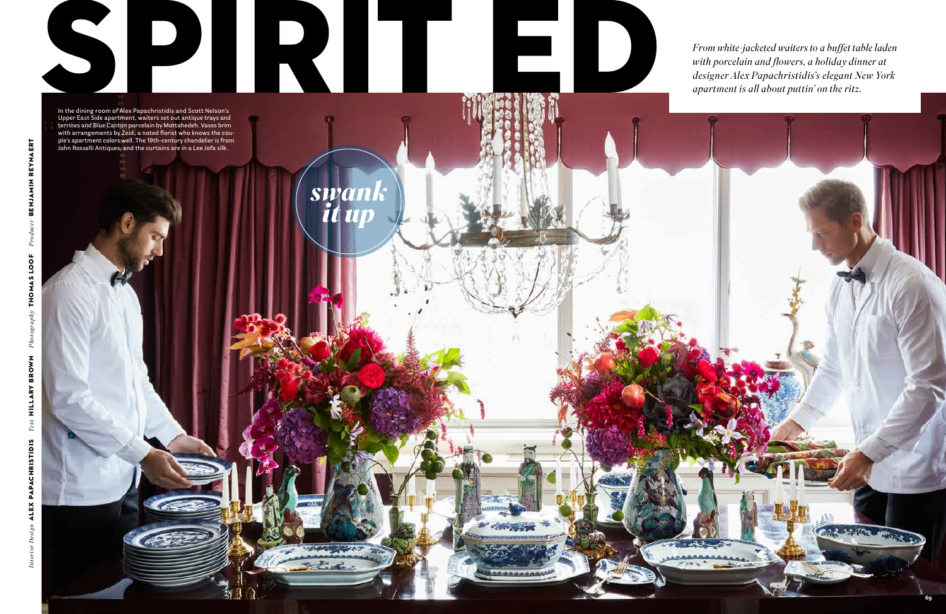

From white-jacketed waiters to a buffet table laden<br>with porcelain and flowers, a holiday dinner at<br>designer Alex Papachristidis's elegant New York<br>apartment is all about puttin' on the ritz. *with porcelain and flowers, a holiday dinner at designer Alex Papachristidis's elegant New York apartment is all about puttin' on the ritz.*



*swank*

*it up*